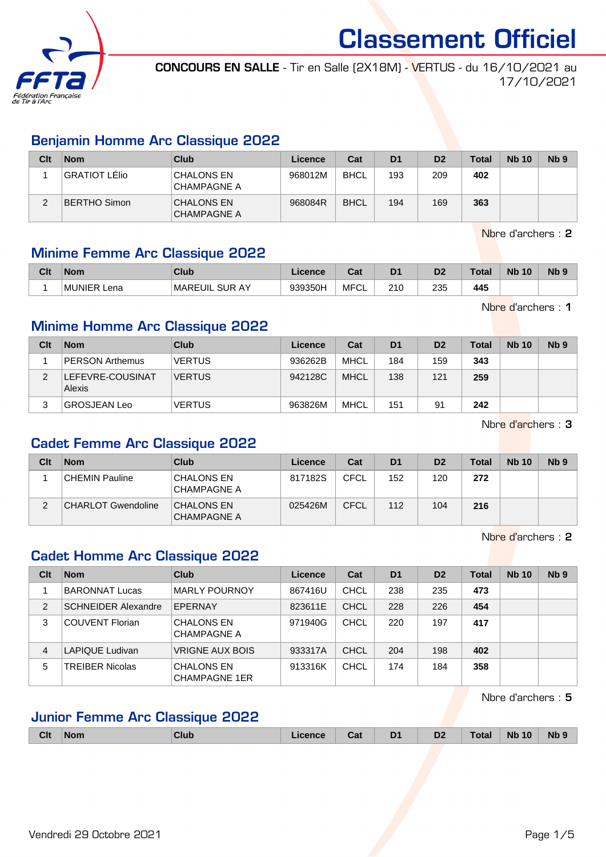

CONCOURS EN SALLE - Tir en Salle (2X18M) - VERTUS - du 16/10/2021 au 17/10/2021

### Benjamin Homme Arc Classique 2022

| Clt    | <b>Nom</b>    | <b>Club</b>                             | Licence | Cat         | D <sub>1</sub> | D <sub>2</sub> | <b>Total</b> | <b>Nb 10</b> | Nb <sub>9</sub> |
|--------|---------------|-----------------------------------------|---------|-------------|----------------|----------------|--------------|--------------|-----------------|
|        | GRATIOT LÉlio | <b>CHALONS EN</b><br>'CHAMPAGNE A       | 968012M | <b>BHCL</b> | 193            | 209            | 402          |              |                 |
| ◠<br>∠ | BERTHO Simon  | <b>CHALONS EN</b><br><b>CHAMPAGNE A</b> | 968084R | <b>BHCL</b> | 194            | 169            | 363          |              |                 |

Nbre d'archers : 2

Nbre d'archers : 1

# Minime Femme Arc Classique 2022

| Clt | <b>Nom</b>         | Club                               | Licence | <b>DAL</b><br>⊍aι | D <sub>1</sub> | D <sub>2</sub> | Total | <b>Nb</b><br>10 | N <sub>b</sub> <sub>9</sub> |
|-----|--------------------|------------------------------------|---------|-------------------|----------------|----------------|-------|-----------------|-----------------------------|
|     | <b>MUNIER Lena</b> | <b>MAREUIL</b><br><b>SUR</b><br>AY | 939350H | <b>MFCL</b>       | 210            | 235            | 445   |                 |                             |

# Minime Homme Arc Classique 2022

| Clt | <b>Nom</b>                 | Club          | Licence | Cat         | D <sub>1</sub> | D <sub>2</sub> | Total | <b>Nb 10</b> | Nb <sub>9</sub> |
|-----|----------------------------|---------------|---------|-------------|----------------|----------------|-------|--------------|-----------------|
|     | <b>PERSON Arthemus</b>     | <b>VERTUS</b> | 936262B | MHCL        | 184            | 159            | 343   |              |                 |
| C   | LEFEVRE-COUSINAT<br>Alexis | <b>VERTUS</b> | 942128C | <b>MHCL</b> | 138            | 121            | 259   |              |                 |
|     | <b>GROSJEAN Leo</b>        | <b>VERTUS</b> | 963826M | <b>MHCL</b> | 151            | 91             | 242   |              |                 |

Nbre d'archers : 3

## Cadet Femme Arc Classique 2022

| Clt    | <b>Nom</b>                | Club                                    | Licence | Cat         | D <sub>1</sub> | D <sub>2</sub> | Total | <b>Nb 10</b> | Nb <sub>9</sub> |
|--------|---------------------------|-----------------------------------------|---------|-------------|----------------|----------------|-------|--------------|-----------------|
|        | CHEMIN Pauline            | <b>CHALONS EN</b><br><b>CHAMPAGNE A</b> | 817182S | <b>CFCL</b> | 152            | 120            | 272   |              |                 |
| າ<br>∠ | <b>CHARLOT Gwendoline</b> | <b>CHALONS EN</b><br><b>CHAMPAGNE A</b> | 025426M | <b>CFCL</b> | 112            | 104            | 216   |              |                 |

Nbre d'archers : 2

# Cadet Homme Arc Classique 2022

| Clt | <b>Nom</b>                 | Club                                      | Licence | Cat         | D <sub>1</sub> | D <sub>2</sub> | <b>Total</b> | <b>Nb 10</b> | N <sub>b</sub> <sub>9</sub> |
|-----|----------------------------|-------------------------------------------|---------|-------------|----------------|----------------|--------------|--------------|-----------------------------|
|     | <b>BARONNAT Lucas</b>      | <b>MARLY POURNOY</b>                      | 867416U | CHCL        | 238            | 235            | 473          |              |                             |
| 2   | <b>SCHNEIDER Alexandre</b> | EPERNAY                                   | 823611E | <b>CHCL</b> | 228            | 226            | 454          |              |                             |
| 3   | <b>COUVENT Florian</b>     | <b>CHALONS EN</b><br><b>CHAMPAGNE A</b>   | 971940G | <b>CHCL</b> | 220            | 197            | 417          |              |                             |
| 4   | LAPIQUE Ludivan            | VRIGNE AUX BOIS                           | 933317A | CHCL        | 204            | 198            | 402          |              |                             |
| 5   | TREIBER Nicolas            | <b>CHALONS EN</b><br><b>CHAMPAGNE 1ER</b> | 913316K | <b>CHCL</b> | 174            | 184            | 358          |              |                             |

Nbre d'archers : 5

# Junior Femme Arc Classique 2022

| <b>Clt</b> | <b>Nom</b> | Club | Licence | Cat | D <sub>1</sub> | D <sub>2</sub> | <b>Total</b> | 10<br><b>Nb</b> | <b>Nb</b> |
|------------|------------|------|---------|-----|----------------|----------------|--------------|-----------------|-----------|
|            |            |      |         |     |                |                |              |                 |           |

Vendredi 29 Octobre 2021 **Page 1/5**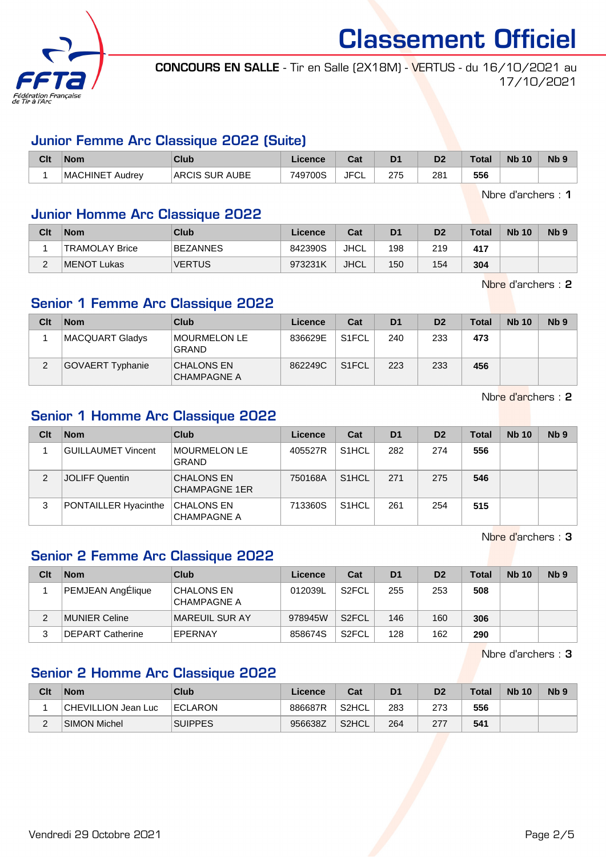

CONCOURS EN SALLE - Tir en Salle (2X18M) - VERTUS - du 16/10/2021 au 17/10/2021

#### Junior Femme Arc Classique 2022 (Suite)

| Clt | <b>Nom</b>                 | Club           | Licence | <b>Cost</b><br>⊍a | D <sub>1</sub> | D <sub>2</sub> | Total | <b>N<sub>b</sub></b><br>10 | N <sub>b</sub> <sub>9</sub> |
|-----|----------------------------|----------------|---------|-------------------|----------------|----------------|-------|----------------------------|-----------------------------|
|     | <b>MACHINET</b><br>∵Audrev | ARCIS SUR AUBE | 749700S | <b>JFCL</b>       | 275            | 281            | 556   |                            |                             |

Nbre d'archers : 1

### Junior Homme Arc Classique 2022

| Clt    | <b>Nom</b>            | Club          | Licence | Cat         | D <sub>1</sub> | D <sub>2</sub> | Total | <b>Nb 10</b> | N <sub>b</sub> 9 |
|--------|-----------------------|---------------|---------|-------------|----------------|----------------|-------|--------------|------------------|
|        | <b>TRAMOLAY Brice</b> | BEZANNES      | 842390S | JHCL        | 198            | 219            | 417   |              |                  |
| $\sim$ | MENOT Lukas           | <b>VERTUS</b> | 973231K | <b>JHCL</b> | 150            | 154            | 304   |              |                  |

Nbre d'archers : 2

# Senior 1 Femme Arc Classique 2022

| Clt | <b>Nom</b>              | Club                                | Licence | Cat                | D <sub>1</sub> | D <sub>2</sub> | <b>Total</b> | <b>Nb 10</b> | Nb <sub>9</sub> |
|-----|-------------------------|-------------------------------------|---------|--------------------|----------------|----------------|--------------|--------------|-----------------|
|     | MACQUART Gladys         | <b>MOURMELON LE</b><br><b>GRAND</b> | 836629E | S <sub>1</sub> FCL | 240            | 233            | 473          |              |                 |
| C   | <b>GOVAERT Typhanie</b> | <b>CHALONS EN</b><br>CHAMPAGNE A    | 862249C | S <sub>1</sub> FCL | 223            | 233            | 456          |              |                 |

Nbre d'archers : 2

# Senior 1 Homme Arc Classique 2022

| Clt | <b>Nom</b>           | Club                                      | Licence | Cat                | D <sub>1</sub> | D <sub>2</sub> | Total | <b>Nb 10</b> | N <sub>b</sub> <sub>9</sub> |
|-----|----------------------|-------------------------------------------|---------|--------------------|----------------|----------------|-------|--------------|-----------------------------|
|     | GUILLAUMET Vincent   | MOURMELON LE<br><b>GRAND</b>              | 405527R | S <sub>1</sub> HCL | 282            | 274            | 556   |              |                             |
|     | JOLIFF Quentin       | <b>CHALONS EN</b><br><b>CHAMPAGNE 1ER</b> | 750168A | S <sub>1</sub> HCL | 271            | 275            | 546   |              |                             |
| 3   | PONTAILLER Hyacinthe | <b>CHALONS EN</b><br><b>CHAMPAGNE A</b>   | 713360S | S <sub>1</sub> HCL | 261            | 254            | 515   |              |                             |

Nbre d'archers : 3

# Senior 2 Femme Arc Classique 2022

| Clt | <b>Nom</b>               | Club                                    | Licence | Cat                | D <sub>1</sub> | D <sub>2</sub> | Total | <b>Nb 10</b> | N <sub>b</sub> 9 |
|-----|--------------------------|-----------------------------------------|---------|--------------------|----------------|----------------|-------|--------------|------------------|
|     | <b>PEMJEAN AngElique</b> | <b>CHALONS EN</b><br><b>CHAMPAGNE A</b> | 012039L | S <sub>2</sub> FCL | 255            | 253            | 508   |              |                  |
| 2   | MUNIER Celine            | MAREUIL SUR AY                          | 978945W | S <sub>2</sub> FCL | 146            | 160            | 306   |              |                  |
|     | <b>DEPART Catherine</b>  | EPERNAY                                 | 858674S | S <sub>2</sub> FCL | 128            | 162            | 290   |              |                  |

Nbre d'archers : 3

# Senior 2 Homme Arc Classique 2022

| Clt | <b>Nom</b>          | Club           | Licence | Cat                | D <sub>1</sub> | D2  | <b>Total</b> | <b>Nb 10</b> | Nb 9 |
|-----|---------------------|----------------|---------|--------------------|----------------|-----|--------------|--------------|------|
|     | CHEVILLION Jean Luc | <b>ECLARON</b> | 886687R | S2HCL              | 283            | 273 | 556          |              |      |
|     | <b>SIMON Michel</b> | <b>SUIPPES</b> | 956638Z | S <sub>2</sub> HCL | 264            | 277 | 541          |              |      |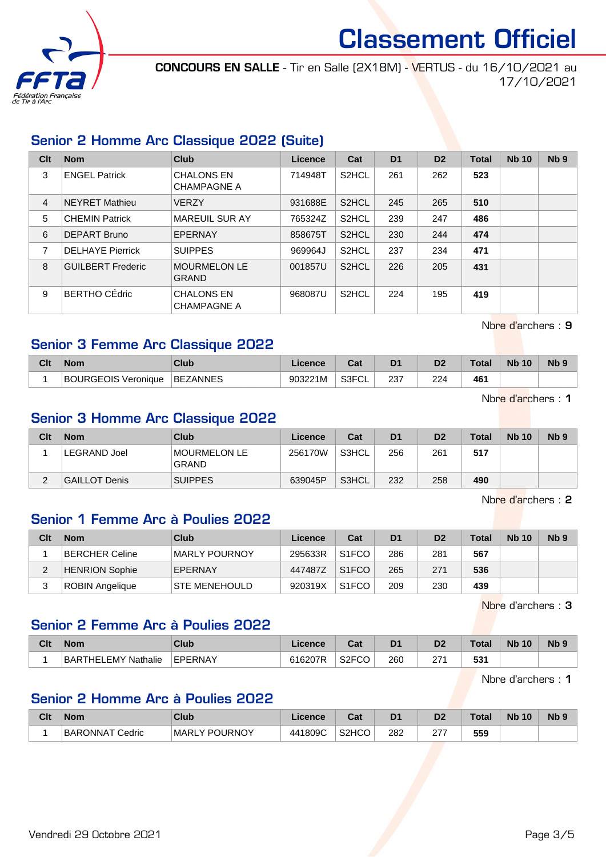

CONCOURS EN SALLE - Tir en Salle (2X18M) - VERTUS - du 16/10/2021 au 17/10/2021

# Senior 2 Homme Arc Classique 2022 (Suite)

| Clt            | <b>Nom</b>               | <b>Club</b>                             | Licence | Cat                | D <sub>1</sub> | D <sub>2</sub> | <b>Total</b> | <b>Nb 10</b> | N <sub>b</sub> <sub>9</sub> |
|----------------|--------------------------|-----------------------------------------|---------|--------------------|----------------|----------------|--------------|--------------|-----------------------------|
| 3              | <b>ENGEL Patrick</b>     | <b>CHALONS EN</b><br><b>CHAMPAGNE A</b> | 714948T | S <sub>2</sub> HCL | 261            | 262            | 523          |              |                             |
| $\overline{4}$ | <b>NEYRET Mathieu</b>    | <b>VERZY</b>                            | 931688E | S <sub>2</sub> HCL | 245            | 265            | 510          |              |                             |
| 5              | <b>CHEMIN Patrick</b>    | <b>MAREUIL SUR AY</b>                   | 765324Z | S <sub>2</sub> HCL | 239            | 247            | 486          |              |                             |
| 6              | DEPART Bruno             | EPERNAY                                 | 858675T | S <sub>2</sub> HCL | 230            | 244            | 474          |              |                             |
| 7              | <b>DELHAYE Pierrick</b>  | <b>SUIPPES</b>                          | 969964J | S <sub>2</sub> HCL | 237            | 234            | 471          |              |                             |
| 8              | <b>GUILBERT Frederic</b> | <b>MOURMELON LE</b><br><b>GRAND</b>     | 001857U | S <sub>2</sub> HCL | 226            | 205            | 431          |              |                             |
| 9              | BERTHO CÉdric            | <b>CHALONS EN</b><br><b>CHAMPAGNE A</b> | 968087U | S <sub>2</sub> HCL | 224            | 195            | 419          |              |                             |

Nbre d'archers : 9

# Senior 3 Femme Arc Classique 2022

| Clt | <b>Nom</b>                 | Club            | <b>Licence</b> | ∩^*<br>udu | D1  | D2  | <b>Total</b> | <b>Nb 10</b> | N <sub>b</sub> <sub>9</sub> |
|-----|----------------------------|-----------------|----------------|------------|-----|-----|--------------|--------------|-----------------------------|
|     | <b>BOURGEOIS Veronique</b> | <b>BEZANNES</b> | 903221M        | S3FCL      | 237 | 224 | 461          |              |                             |

Nbre d'archers : 1

# Senior 3 Homme Arc Classique 2022

| Clt | <b>Nom</b>    | Club                         | Licence | Cat   | D <sub>1</sub> | D <sub>2</sub> | <b>Total</b> | <b>Nb 10</b> | N <sub>b</sub> <sub>9</sub> |
|-----|---------------|------------------------------|---------|-------|----------------|----------------|--------------|--------------|-----------------------------|
|     | ⊦LEGRAND Joel | MOURMELON LE<br><b>GRAND</b> | 256170W | S3HCL | 256            | 261            | 517          |              |                             |
|     | GAILLOT Denis | <b>SUIPPES</b>               | 639045P | S3HCL | 232            | 258            | 490          |              |                             |

Nbre d'archers : 2

# Senior 1 Femme Arc à Poulies 2022

| Clt | <b>Nom</b>            | Club                 | Licence | Cat                | D <sub>1</sub> | D <sub>2</sub> | <b>Total</b> | <b>Nb 10</b> | Nb <sub>9</sub> |
|-----|-----------------------|----------------------|---------|--------------------|----------------|----------------|--------------|--------------|-----------------|
|     | BERCHER Celine        | MARLY POURNOY        | 295633R | S <sub>1</sub> FCO | 286            | 281            | 567          |              |                 |
|     | <b>HENRION Sophie</b> | EPERNAY              | 447487Z | S <sub>1</sub> FCO | 265            | 271            | 536          |              |                 |
|     | ROBIN Angelique       | <b>STE MENEHOULD</b> | 920319X | S <sub>1</sub> FCO | 209            | 230            | 439          |              |                 |

Nbre d'archers : 3

#### Senior 2 Femme Arc à Poulies 2022

| Clt | <b>Nom</b>          | Club    | Licence | <b>Dol</b><br>ua | D <sub>1</sub> | D2         | $\tau$ otal | <b>N<sub>b</sub></b><br>10 | N <sub>b</sub> <sub>9</sub> |
|-----|---------------------|---------|---------|------------------|----------------|------------|-------------|----------------------------|-----------------------------|
|     | BARTHELEMY Nathalie | EPERNAY | 616207R | S2FCO<br>ער-     | 260            | 07.<br>- ' | 531         |                            |                             |

Nbre d'archers : 1

# Senior 2 Homme Arc à Poulies 2022

| Clt | <b>Nom</b>      | Club          | Licence | <b>DAL</b><br>ua               | D <sub>1</sub> | D2        | <b>Total</b> | <b>N<sub>b</sub></b><br>10 | <b>Nb</b> |
|-----|-----------------|---------------|---------|--------------------------------|----------------|-----------|--------------|----------------------------|-----------|
|     | BARONNAT Cedric | MARLY POURNOY | 441809C | S <sub>2</sub> H <sub>CO</sub> | 282            | ^77<br>21 | 559          |                            |           |

Vendredi 29 Octobre 2021 Page 3/5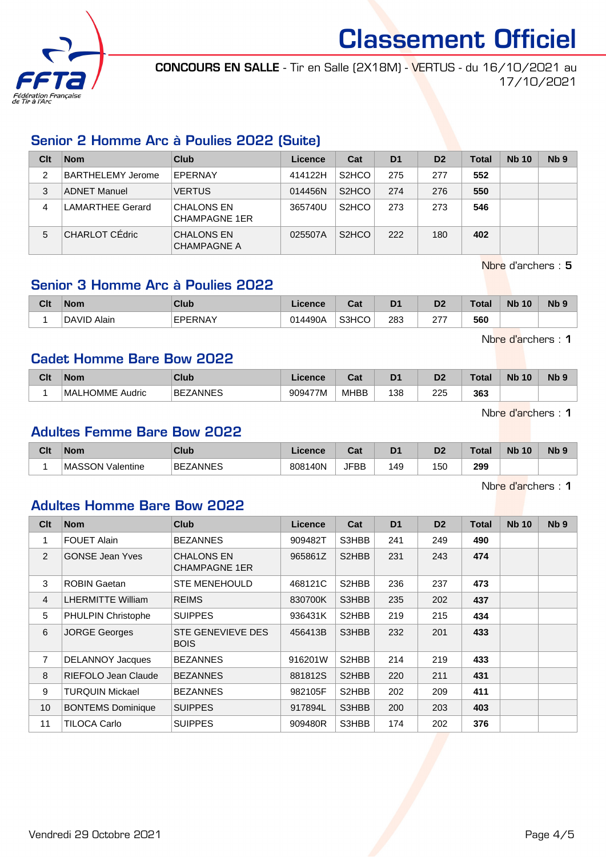

CONCOURS EN SALLE - Tir en Salle (2X18M) - VERTUS - du 16/10/2021 au 17/10/2021

# Senior 2 Homme Arc à Poulies 2022 (Suite)

| Clt | <b>Nom</b>              | Club                                      | Licence | Cat                | D <sub>1</sub> | D <sub>2</sub> | <b>Total</b> | <b>Nb 10</b> | N <sub>b</sub> <sub>9</sub> |
|-----|-------------------------|-------------------------------------------|---------|--------------------|----------------|----------------|--------------|--------------|-----------------------------|
| 2   | BARTHELEMY Jerome       | EPERNAY                                   | 414122H | S <sub>2</sub> HCO | 275            | 277            | 552          |              |                             |
| 3   | <b>ADNET Manuel</b>     | <b>VERTUS</b>                             | 014456N | S <sub>2</sub> HCO | 274            | 276            | 550          |              |                             |
| 4   | <b>LAMARTHEE Gerard</b> | <b>CHALONS EN</b><br><b>CHAMPAGNE 1ER</b> | 365740U | S <sub>2</sub> HCO | 273            | 273            | 546          |              |                             |
| 5   | CHARLOT CÉdric          | <b>CHALONS EN</b><br><b>CHAMPAGNE A</b>   | 025507A | S <sub>2</sub> HCO | 222            | 180            | 402          |              |                             |

Nbre d'archers : 5

# Senior 3 Homme Arc à Poulies 2022

| Clt | <b>Nom</b>  | Club           | icence  | ◠⌒ィ<br>⊍aι | D <sub>1</sub> | D <sub>2</sub> | Total | <b>N<sub>b</sub></b><br>10 <sup>°</sup> | N <sub>b</sub> <sub>9</sub> |
|-----|-------------|----------------|---------|------------|----------------|----------------|-------|-----------------------------------------|-----------------------------|
|     | DAVID Alain | <b>EPERNAY</b> | 014490A | S3HCO      | 283<br>$ -$    | ヘララ<br>ا ہے    | 560   |                                         |                             |

Nbre d'archers : 1

#### Cadet Homme Bare Bow 2022

| Clt | <b>Nom</b>               | <b>Club</b>   | Licence | ∩~'<br>⊍αι  | D <sub>1</sub><br>Ð | n.<br>יש                                   | <b>Total</b> | <b>Nb</b><br>10 | N <sub>b</sub> <sub>9</sub> |
|-----|--------------------------|---------------|---------|-------------|---------------------|--------------------------------------------|--------------|-----------------|-----------------------------|
|     | Audric<br>'MAL<br>_HOMME | ZANNES<br>BE: | 909477M | <b>MHBB</b> | 138                 | 225<br>the contract of the contract of the | 363          |                 |                             |

Nbre d'archers : 1

#### Adultes Femme Bare Bow 2022

| Clt | <b>Nom</b>                 | Club                 | Licence      | <b>Tab</b><br>Jar | D <sub>1</sub> | D <sub>2</sub> | <b>Total</b> | <b>Nb</b><br>10 | N <sub>b</sub> <sub>9</sub> |
|-----|----------------------------|----------------------|--------------|-------------------|----------------|----------------|--------------|-----------------|-----------------------------|
|     | <b>MASSON</b><br>Valentine | 'ANNES<br><b>BEZ</b> | 140N<br>8081 | <b>JFBB</b>       | .49            | 150            | 299<br>- -   |                 |                             |

Nbre d'archers : 1

#### Adultes Homme Bare Bow 2022

| Clt            | <b>Nom</b>               | Club                                      | <b>Licence</b> | Cat                             | D <sub>1</sub> | D <sub>2</sub> | <b>Total</b> | <b>Nb 10</b> | N <sub>b</sub> <sub>9</sub> |
|----------------|--------------------------|-------------------------------------------|----------------|---------------------------------|----------------|----------------|--------------|--------------|-----------------------------|
| 1              | <b>FOUET Alain</b>       | <b>BEZANNES</b>                           | 909482T        | S3HBB                           | 241            | 249            | 490          |              |                             |
| $\overline{2}$ | <b>GONSE Jean Yves</b>   | <b>CHALONS EN</b><br><b>CHAMPAGNE 1ER</b> | 965861Z        | S2HBB                           | 231            | 243            | 474          |              |                             |
| 3              | <b>ROBIN Gaetan</b>      | <b>STE MENEHOULD</b>                      | 468121C        | S <sub>2</sub> H <sub>B</sub> B | 236            | 237            | 473          |              |                             |
| $\overline{4}$ | <b>LHERMITTE William</b> | <b>REIMS</b>                              | 830700K        | S3HBB                           | 235            | 202            | 437          |              |                             |
| 5              | PHULPIN Christophe       | <b>SUIPPES</b>                            | 936431K        | S <sub>2</sub> H <sub>B</sub> B | 219            | 215            | 434          |              |                             |
| 6              | <b>JORGE Georges</b>     | <b>STE GENEVIEVE DES</b><br><b>BOIS</b>   | 456413B        | S3HBB                           | 232            | 201            | 433          |              |                             |
| $\overline{7}$ | <b>DELANNOY Jacques</b>  | <b>BEZANNES</b>                           | 916201W        | S2HBB                           | 214            | 219            | 433          |              |                             |
| 8              | RIEFOLO Jean Claude      | <b>BEZANNES</b>                           | 881812S        | S2HBB                           | 220            | 211            | 431          |              |                             |
| 9              | <b>TURQUIN Mickael</b>   | <b>BEZANNES</b>                           | 982105F        | S <sub>2</sub> H <sub>B</sub> B | 202            | 209            | 411          |              |                             |
| 10             | <b>BONTEMS Dominique</b> | <b>SUIPPES</b>                            | 917894L        | S3HBB                           | 200            | 203            | 403          |              |                             |
| 11             | TILOCA Carlo             | <b>SUIPPES</b>                            | 909480R        | S3HBB                           | 174            | 202            | 376          |              |                             |